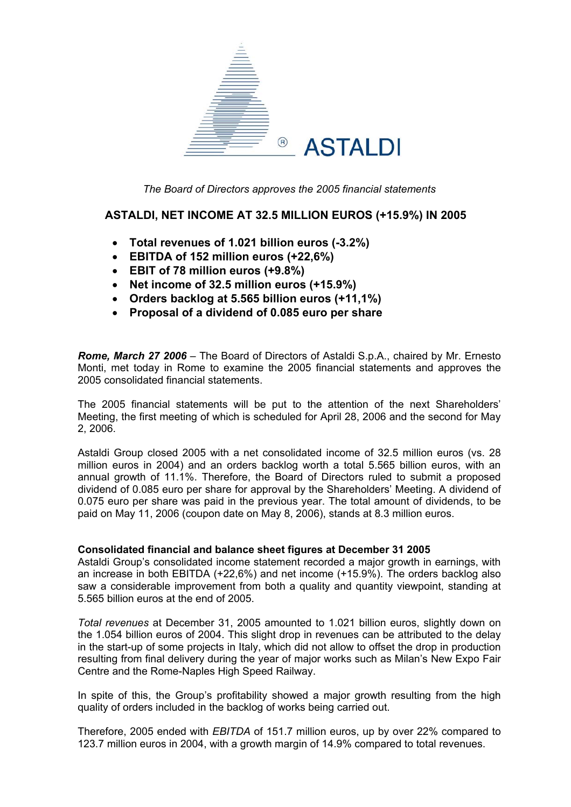

*The Board of Directors approves the 2005 financial statements* 

## **ASTALDI, NET INCOME AT 32.5 MILLION EUROS (+15.9%) IN 2005**

- **Total revenues of 1.021 billion euros (-3.2%)**
- **EBITDA of 152 million euros (+22,6%)**
- **EBIT of 78 million euros (+9.8%)**
- **Net income of 32.5 million euros (+15.9%)**
- **Orders backlog at 5.565 billion euros (+11,1%)**
- **Proposal of a dividend of 0.085 euro per share**

*Rome, March 27 2006* – The Board of Directors of Astaldi S.p.A., chaired by Mr. Ernesto Monti, met today in Rome to examine the 2005 financial statements and approves the 2005 consolidated financial statements.

The 2005 financial statements will be put to the attention of the next Shareholders' Meeting, the first meeting of which is scheduled for April 28, 2006 and the second for May 2, 2006.

Astaldi Group closed 2005 with a net consolidated income of 32.5 million euros (vs. 28 million euros in 2004) and an orders backlog worth a total 5.565 billion euros, with an annual growth of 11.1%. Therefore, the Board of Directors ruled to submit a proposed dividend of 0.085 euro per share for approval by the Shareholders' Meeting. A dividend of 0.075 euro per share was paid in the previous year. The total amount of dividends, to be paid on May 11, 2006 (coupon date on May 8, 2006), stands at 8.3 million euros.

### **Consolidated financial and balance sheet figures at December 31 2005**

Astaldi Group's consolidated income statement recorded a major growth in earnings, with an increase in both EBITDA (+22,6%) and net income (+15.9%). The orders backlog also saw a considerable improvement from both a quality and quantity viewpoint, standing at 5.565 billion euros at the end of 2005.

*Total revenues* at December 31, 2005 amounted to 1.021 billion euros, slightly down on the 1.054 billion euros of 2004. This slight drop in revenues can be attributed to the delay in the start-up of some projects in Italy, which did not allow to offset the drop in production resulting from final delivery during the year of major works such as Milan's New Expo Fair Centre and the Rome-Naples High Speed Railway.

In spite of this, the Group's profitability showed a major growth resulting from the high quality of orders included in the backlog of works being carried out.

Therefore, 2005 ended with *EBITDA* of 151.7 million euros, up by over 22% compared to 123.7 million euros in 2004, with a growth margin of 14.9% compared to total revenues.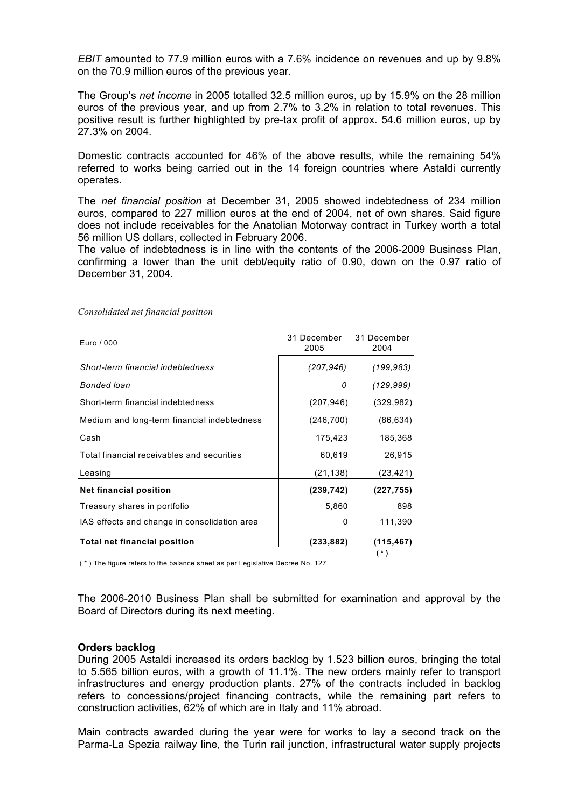*EBIT* amounted to 77.9 million euros with a 7.6% incidence on revenues and up by 9.8% on the 70.9 million euros of the previous year.

The Group's *net income* in 2005 totalled 32.5 million euros, up by 15.9% on the 28 million euros of the previous year, and up from 2.7% to 3.2% in relation to total revenues. This positive result is further highlighted by pre-tax profit of approx. 54.6 million euros, up by 27.3% on 2004.

Domestic contracts accounted for 46% of the above results, while the remaining 54% referred to works being carried out in the 14 foreign countries where Astaldi currently operates.

The *net financial position* at December 31, 2005 showed indebtedness of 234 million euros, compared to 227 million euros at the end of 2004, net of own shares. Said figure does not include receivables for the Anatolian Motorway contract in Turkey worth a total 56 million US dollars, collected in February 2006.

The value of indebtedness is in line with the contents of the 2006-2009 Business Plan, confirming a lower than the unit debt/equity ratio of 0.90, down on the 0.97 ratio of December 31, 2004.

| Euro / 000                                   | 31 December<br>2005 | 31 December<br>2004 |  |
|----------------------------------------------|---------------------|---------------------|--|
| Short-term financial indebtedness            | (207, 946)          | (199, 983)          |  |
| Bonded loan                                  | 0                   | (129, 999)          |  |
| Short-term financial indebtedness            | (207, 946)          | (329, 982)          |  |
| Medium and long-term financial indebtedness  | (246, 700)          | (86, 634)           |  |
| Cash                                         | 175,423             | 185,368             |  |
| Total financial receivables and securities   | 60,619              | 26,915              |  |
| Leasing                                      | (21,138)            | (23,421)            |  |
| <b>Net financial position</b>                | (239, 742)          | (227, 755)          |  |
| Treasury shares in portfolio                 | 5,860               | 898                 |  |
| IAS effects and change in consolidation area | 0                   | 111,390             |  |
| <b>Total net financial position</b>          | (233,882)           | (115, 467)          |  |

*Consolidated net financial position* 

( \* ) The figure refers to the balance sheet as per Legislative Decree No. 127

The 2006-2010 Business Plan shall be submitted for examination and approval by the Board of Directors during its next meeting.

#### **Orders backlog**

During 2005 Astaldi increased its orders backlog by 1.523 billion euros, bringing the total to 5.565 billion euros, with a growth of 11.1%. The new orders mainly refer to transport infrastructures and energy production plants. 27% of the contracts included in backlog refers to concessions/project financing contracts, while the remaining part refers to construction activities, 62% of which are in Italy and 11% abroad.

Main contracts awarded during the year were for works to lay a second track on the Parma-La Spezia railway line, the Turin rail junction, infrastructural water supply projects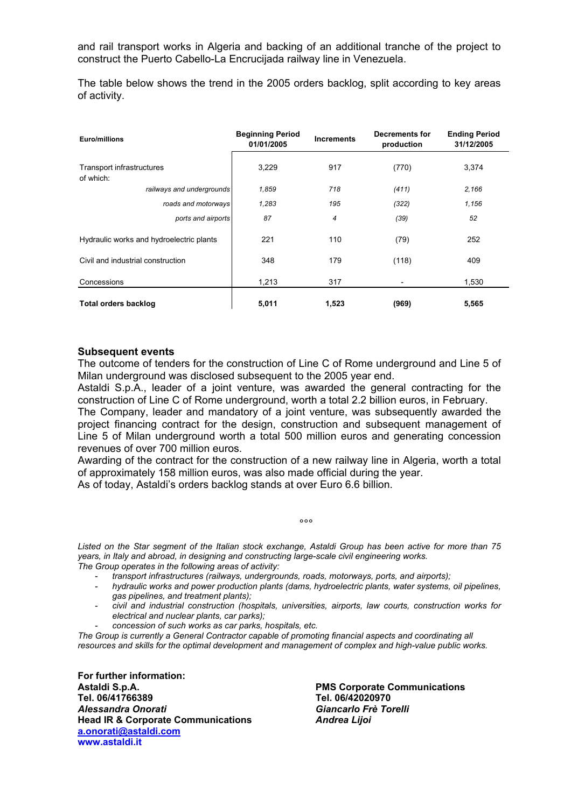and rail transport works in Algeria and backing of an additional tranche of the project to construct the Puerto Cabello-La Encrucijada railway line in Venezuela.

The table below shows the trend in the 2005 orders backlog, split according to key areas of activity.

| Euro/millions                          |                                          | <b>Beginning Period</b><br>01/01/2005 | <b>Increments</b> | Decrements for<br>production | <b>Ending Period</b><br>31/12/2005 |
|----------------------------------------|------------------------------------------|---------------------------------------|-------------------|------------------------------|------------------------------------|
| Transport infrastructures<br>of which: |                                          | 3,229                                 | 917               | (770)                        | 3,374                              |
|                                        | railways and undergrounds                | 1,859                                 | 718               | (411)                        | 2,166                              |
|                                        | roads and motorways                      | 1,283                                 | 195               | (322)                        | 1,156                              |
|                                        | ports and airports                       | 87                                    | 4                 | (39)                         | 52                                 |
|                                        | Hydraulic works and hydroelectric plants | 221                                   | 110               | (79)                         | 252                                |
| Civil and industrial construction      |                                          | 348                                   | 179               | (118)                        | 409                                |
| Concessions                            |                                          | 1,213                                 | 317               |                              | 1,530                              |
| <b>Total orders backlog</b>            |                                          | 5,011                                 | 1,523             | (969)                        | 5,565                              |

### **Subsequent events**

The outcome of tenders for the construction of Line C of Rome underground and Line 5 of Milan underground was disclosed subsequent to the 2005 year end.

Astaldi S.p.A., leader of a joint venture, was awarded the general contracting for the construction of Line C of Rome underground, worth a total 2.2 billion euros, in February. The Company, leader and mandatory of a joint venture, was subsequently awarded the project financing contract for the design, construction and subsequent management of Line 5 of Milan underground worth a total 500 million euros and generating concession revenues of over 700 million euros.

Awarding of the contract for the construction of a new railway line in Algeria, worth a total of approximately 158 million euros, was also made official during the year.

As of today, Astaldi's orders backlog stands at over Euro 6.6 billion.

*Listed on the Star segment of the Italian stock exchange, Astaldi Group has been active for more than 75 years, in Italy and abroad, in designing and constructing large-scale civil engineering works. The Group operates in the following areas of activity:* 

- *transport infrastructures (railways, undergrounds, roads, motorways, ports, and airports);*
- *hydraulic works and power production plants (dams, hydroelectric plants, water systems, oil pipelines, gas pipelines, and treatment plants);*
- *civil and industrial construction (hospitals, universities, airports, law courts, construction works for electrical and nuclear plants, car parks);*
- *concession of such works as car parks, hospitals, etc.*

 $\sim$ °°  $\sim$ °°  $\sim$ °  $\sim$ °  $\sim$ °  $\sim$ °  $\sim$ °  $\sim$ °  $\sim$ °  $\sim$ 

*The Group is currently a General Contractor capable of promoting financial aspects and coordinating all resources and skills for the optimal development and management of complex and high-value public works.* 

**For further information: Astaldi S.p.A. PMS Corporate Communications Tel. 06/41766389 Tel. 06/42020970**  *Alessandra Onorati**Giancarlo Frè Torelli* **Head IR & Corporate Communications** *Andrea Lijoi* **[a.onorati@astaldi.com](mailto:a.onorati@astaldi.com) [www.astaldi.it](http://www.astaldi.it/)**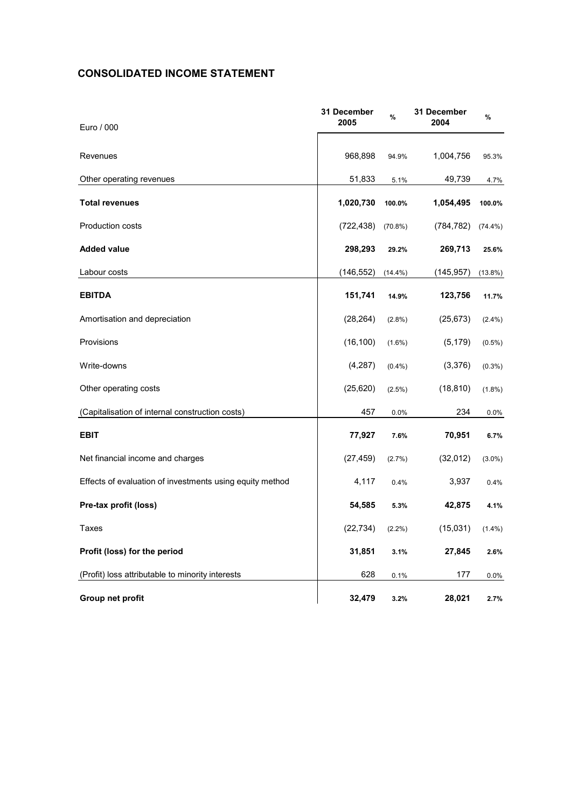# **CONSOLIDATED INCOME STATEMENT**

| Euro / 000                                               | 31 December<br>2005 | %          | 31 December<br>2004 | %          |
|----------------------------------------------------------|---------------------|------------|---------------------|------------|
|                                                          |                     |            |                     |            |
| Revenues                                                 | 968,898             | 94.9%      | 1,004,756           | 95.3%      |
| Other operating revenues                                 | 51,833              | 5.1%       | 49,739              | 4.7%       |
| <b>Total revenues</b>                                    | 1,020,730           | 100.0%     | 1,054,495           | 100.0%     |
| <b>Production costs</b>                                  | (722, 438)          | $(70.8\%)$ | (784, 782)          | $(74.4\%)$ |
| <b>Added value</b>                                       | 298,293             | 29.2%      | 269,713             | 25.6%      |
| Labour costs                                             | (146, 552)          | $(14.4\%)$ | (145, 957)          | $(13.8\%)$ |
| <b>EBITDA</b>                                            | 151,741             | 14.9%      | 123,756             | 11.7%      |
| Amortisation and depreciation                            | (28, 264)           | $(2.8\%)$  | (25, 673)           | $(2.4\%)$  |
| Provisions                                               | (16, 100)           | $(1.6\%)$  | (5, 179)            | $(0.5\%)$  |
| Write-downs                                              | (4,287)             | $(0.4\%)$  | (3,376)             | $(0.3\%)$  |
| Other operating costs                                    | (25, 620)           | $(2.5\%)$  | (18, 810)           | $(1.8\%)$  |
| (Capitalisation of internal construction costs)          | 457                 | 0.0%       | 234                 | $0.0\%$    |
| <b>EBIT</b>                                              | 77,927              | 7.6%       | 70,951              | 6.7%       |
| Net financial income and charges                         | (27, 459)           | (2.7%)     | (32,012)            | $(3.0\%)$  |
| Effects of evaluation of investments using equity method | 4,117               | 0.4%       | 3,937               | 0.4%       |
| Pre-tax profit (loss)                                    | 54,585              | 5.3%       | 42,875              | 4.1%       |
| Taxes                                                    | (22, 734)           | $(2.2\%)$  | (15,031)            | $(1.4\%)$  |
| Profit (loss) for the period                             | 31,851              | 3.1%       | 27,845              | 2.6%       |
| (Profit) loss attributable to minority interests         | 628                 | 0.1%       | 177                 | 0.0%       |
| Group net profit                                         | 32,479              | 3.2%       | 28,021              | 2.7%       |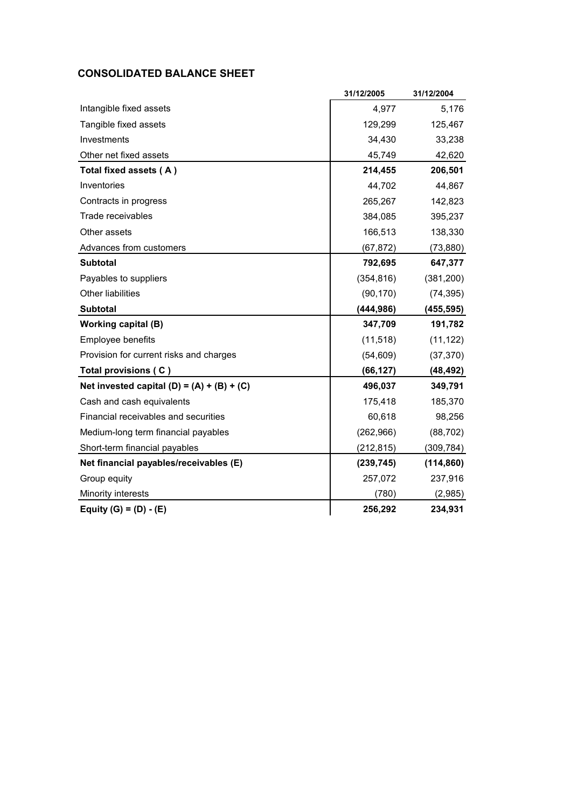# **CONSOLIDATED BALANCE SHEET**

|                                              | 31/12/2005 | 31/12/2004 |
|----------------------------------------------|------------|------------|
| Intangible fixed assets                      | 4,977      | 5,176      |
| Tangible fixed assets                        | 129,299    | 125,467    |
| Investments                                  | 34,430     | 33,238     |
| Other net fixed assets                       | 45,749     | 42,620     |
| Total fixed assets (A)                       | 214,455    | 206,501    |
| Inventories                                  | 44,702     | 44,867     |
| Contracts in progress                        | 265,267    | 142,823    |
| Trade receivables                            | 384,085    | 395,237    |
| Other assets                                 | 166,513    | 138,330    |
| Advances from customers                      | (67, 872)  | (73, 880)  |
| <b>Subtotal</b>                              | 792,695    | 647,377    |
| Payables to suppliers                        | (354, 816) | (381, 200) |
| Other liabilities                            | (90, 170)  | (74, 395)  |
| <b>Subtotal</b>                              | (444, 986) | (455, 595) |
| <b>Working capital (B)</b>                   | 347,709    | 191,782    |
| Employee benefits                            | (11, 518)  | (11, 122)  |
| Provision for current risks and charges      | (54, 609)  | (37, 370)  |
| Total provisions (C)                         | (66, 127)  | (48, 492)  |
| Net invested capital $(D) = (A) + (B) + (C)$ | 496,037    | 349,791    |
| Cash and cash equivalents                    | 175,418    | 185,370    |
| Financial receivables and securities         | 60,618     | 98,256     |
| Medium-long term financial payables          | (262, 966) | (88, 702)  |
| Short-term financial payables                | (212, 815) | (309, 784) |
| Net financial payables/receivables (E)       | (239, 745) | (114, 860) |
| Group equity                                 | 257,072    | 237,916    |
| Minority interests                           | (780)      | (2,985)    |
| Equity $(G) = (D) - (E)$                     | 256,292    | 234,931    |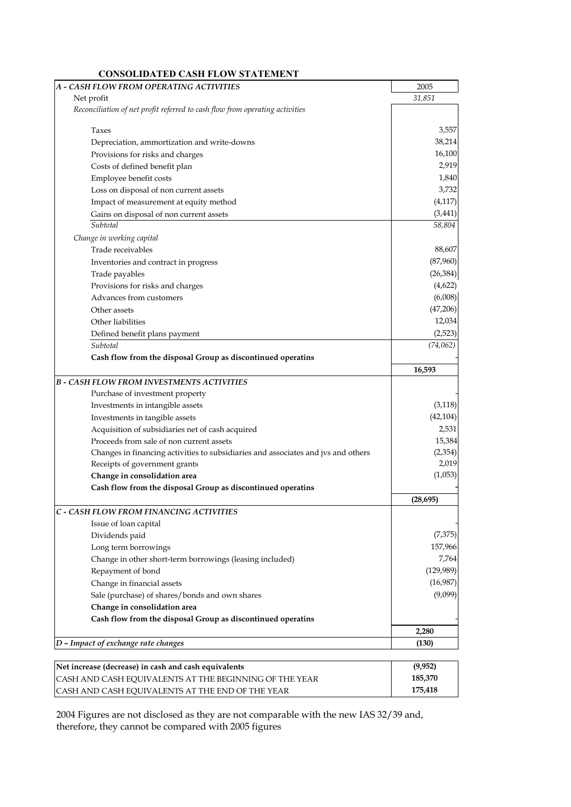| A - CASH FLOW FROM OPERATING ACTIVITIES                                           | 2005      |
|-----------------------------------------------------------------------------------|-----------|
| Net profit                                                                        | 31,851    |
| Reconciliation of net profit referred to cash flow from operating activities      |           |
|                                                                                   |           |
| Taxes                                                                             | 3,557     |
| Depreciation, ammortization and write-downs                                       | 38,214    |
| Provisions for risks and charges                                                  | 16,100    |
| Costs of defined benefit plan                                                     | 2,919     |
| Employee benefit costs                                                            | 1,840     |
| Loss on disposal of non current assets                                            | 3,732     |
| Impact of measurement at equity method                                            | (4, 117)  |
| Gains on disposal of non current assets                                           | (3, 441)  |
| Subtotal                                                                          | 58,804    |
| Change in working capital                                                         |           |
| Trade receivables                                                                 | 88,607    |
| Inventories and contract in progress                                              | (87,960)  |
| Trade payables                                                                    | (26, 384) |
| Provisions for risks and charges                                                  | (4,622)   |
| Advances from customers                                                           | (6,008)   |
| Other assets                                                                      | (47,206)  |
| Other liabilities                                                                 | 12,034    |
| Defined benefit plans payment                                                     | (2,523)   |
| Subtotal                                                                          | (74, 062) |
| Cash flow from the disposal Group as discontinued operatins                       |           |
|                                                                                   | 16,593    |
| <b>B - CASH FLOW FROM INVESTMENTS ACTIVITIES</b>                                  |           |
| Purchase of investment property                                                   |           |
| Investments in intangible assets                                                  | (3, 118)  |
| Investments in tangible assets                                                    | (42, 104) |
| Acquisition of subsidiaries net of cash acquired                                  | 2,531     |
| Proceeds from sale of non current assets                                          | 15,384    |
| Changes in financing activities to subsidiaries and associates and jvs and others | (2, 354)  |
| Receipts of government grants                                                     | 2,019     |
| Change in consolidation area                                                      | (1,053)   |
| Cash flow from the disposal Group as discontinued operatins                       |           |
|                                                                                   | (28, 695) |
| C - CASH FLOW FROM FINANCING ACTIVITIES                                           |           |
| Issue of loan capital                                                             |           |
| Dividends paid                                                                    | (7, 375)  |
| Long term borrowings                                                              | 157,966   |
| Change in other short-term borrowings (leasing included)                          | 7,764     |
| Repayment of bond                                                                 | (129,989) |
| Change in financial assets                                                        | (16,987)  |
| Sale (purchase) of shares/bonds and own shares                                    | (9,099)   |
| Change in consolidation area                                                      |           |
| Cash flow from the disposal Group as discontinued operatins                       |           |
|                                                                                   | 2,280     |
| D - Impact of exchange rate changes                                               | (130)     |
|                                                                                   |           |

| Net increase (decrease) in cash and cash equivalents   | (9,952) |
|--------------------------------------------------------|---------|
| CASH AND CASH EOUIVALENTS AT THE BEGINNING OF THE YEAR | 185.370 |
| CASH AND CASH EQUIVALENTS AT THE END OF THE YEAR       | 175.418 |

2004 Figures are not disclosed as they are not comparable with the new IAS 32/39 and, therefore, they cannot be compared with 2005 figures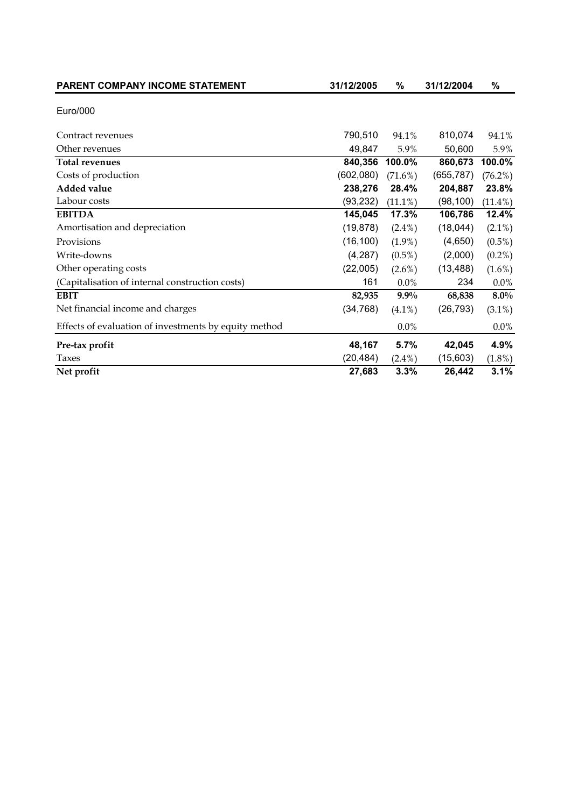| PARENT COMPANY INCOME STATEMENT                       | 31/12/2005 | %          | 31/12/2004 | %          |
|-------------------------------------------------------|------------|------------|------------|------------|
| Euro/000                                              |            |            |            |            |
| Contract revenues                                     | 790,510    | 94.1%      | 810,074    | 94.1%      |
| Other revenues                                        | 49,847     | 5.9%       | 50,600     | 5.9%       |
| <b>Total revenues</b>                                 | 840,356    | 100.0%     | 860,673    | 100.0%     |
| Costs of production                                   | (602,080)  | $(71.6\%)$ | (655, 787) | $(76.2\%)$ |
| <b>Added value</b>                                    | 238,276    | 28.4%      | 204,887    | 23.8%      |
| Labour costs                                          | (93, 232)  | $(11.1\%)$ | (98, 100)  | $(11.4\%)$ |
| <b>EBITDA</b>                                         | 145,045    | 17.3%      | 106,786    | 12.4%      |
| Amortisation and depreciation                         | (19, 878)  | $(2.4\%)$  | (18,044)   | $(2.1\%)$  |
| Provisions                                            | (16, 100)  | $(1.9\%)$  | (4,650)    | $(0.5\%)$  |
| Write-downs                                           | (4, 287)   | $(0.5\%)$  | (2,000)    | $(0.2\%)$  |
| Other operating costs                                 | (22,005)   | $(2.6\%)$  | (13, 488)  | $(1.6\%)$  |
| (Capitalisation of internal construction costs)       | 161        | $0.0\%$    | 234        | $0.0\%$    |
| <b>EBIT</b>                                           | 82,935     | $9.9\%$    | 68,838     | $8.0\%$    |
| Net financial income and charges                      | (34, 768)  | $(4.1\%)$  | (26, 793)  | $(3.1\%)$  |
| Effects of evaluation of investments by equity method |            | 0.0%       |            | $0.0\%$    |
| Pre-tax profit                                        | 48,167     | 5.7%       | 42,045     | 4.9%       |
| Taxes                                                 | (20, 484)  | $(2.4\%)$  | (15,603)   | $(1.8\%)$  |
| Net profit                                            | 27,683     | 3.3%       | 26,442     | 3.1%       |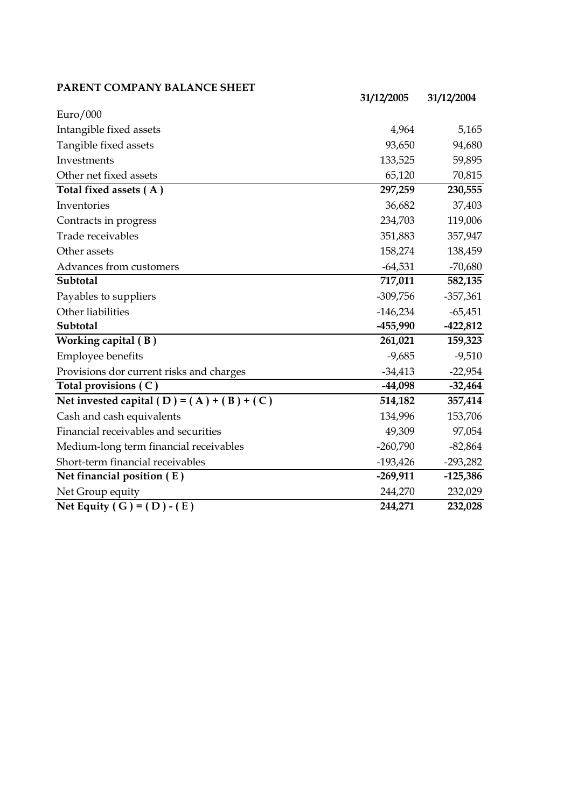## **PARENT COMPANY BALANCE SHEET**

|                                              | 31/12/2005 | 31/12/2004 |
|----------------------------------------------|------------|------------|
| Euro/000                                     |            |            |
| Intangible fixed assets                      | 4,964      | 5,165      |
| Tangible fixed assets                        | 93,650     | 94,680     |
| Investments                                  | 133,525    | 59,895     |
| Other net fixed assets                       | 65,120     | 70,815     |
| Total fixed assets (A)                       | 297,259    | 230,555    |
| Inventories                                  | 36,682     | 37,403     |
| Contracts in progress                        | 234,703    | 119,006    |
| Trade receivables                            | 351,883    | 357,947    |
| Other assets                                 | 158,274    | 138,459    |
| Advances from customers                      | $-64,531$  | $-70,680$  |
| Subtotal                                     | 717,011    | 582,135    |
| Payables to suppliers                        | $-309,756$ | $-357,361$ |
| Other liabilities                            | $-146,234$ | $-65,451$  |
| Subtotal                                     | $-455,990$ | $-422,812$ |
| Working capital (B)                          | 261,021    | 159,323    |
| <b>Employee benefits</b>                     | $-9,685$   | $-9,510$   |
| Provisions dor current risks and charges     | $-34,413$  | $-22,954$  |
| Total provisions (C)                         | $-44,098$  | $-32,464$  |
| Net invested capital (D) = $(A) + (B) + (C)$ | 514,182    | 357,414    |
| Cash and cash equivalents                    | 134,996    | 153,706    |
| Financial receivables and securities         | 49,309     | 97,054     |
| Medium-long term financial receivables       | $-260,790$ | $-82,864$  |
| Short-term financial receivables             | $-193,426$ | $-293,282$ |
| Net financial position $(E)$                 | $-269,911$ | $-125,386$ |
| Net Group equity                             | 244,270    | 232,029    |
| Net Equity ( G ) = $(D) - (E)$               | 244,271    | 232,028    |